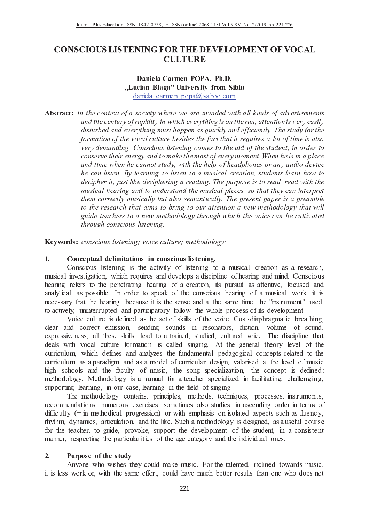# **CONSCIOUS LISTENING FOR THE DEVELOPMENT OF VOCAL CULTURE**

### Daniela Carmen POPA, Ph.D. "Lucian Blaga" University from Sibiu daniela carmen popa $\omega$  vahoo.com

Abstract: In the context of a society where we are invaded with all kinds of advertisements and the century of rapidity in which everything is on the run, attention is very easily disturbed and everything must happen as quickly and efficiently. The study for the formation of the vocal culture besides the fact that it requires a lot of time is also very demanding. Conscious listening comes to the aid of the student, in order to conserve their energy and to make the most of every moment. When he is in a place and time when he cannot study, with the help of headphones or any audio device he can listen. By learning to listen to a musical creation, students learn how to decipher it, just like deciphering a reading. The purpose is to read, read with the musical hearing and to understand the musical pieces, so that they can interpret them correctly musically but also semantically. The present paper is a preamble to the research that aims to bring to our attention a new methodology that will guide teachers to a new methodology through which the voice can be cultivated through conscious listening.

Keywords: conscious listening; voice culture; methodology;

### $1<sub>1</sub>$ Conceptual delimitations in conscious listening.

Conscious listening is the activity of listening to a musical creation as a research,  $\mathcal{P}$  , and a set of the contract of the contract of the contract of the contract of the contract of the contract of the contract of the contract of the contract of the contract of the contract of the contract of the c hearing refers to the penetrating hearing of a creation, its pursuit as attentive, focused and analytical as possible. In order to speak of the conscious hearing of a musical work, it is necessary that the hearing, because it is the sense and at the same time, the "instrument" used. to actively, uninterrupted and participatory follow the whole process of its development.

 <sup>X</sup> <sup>P</sup> <sup>T</sup> <sup>Q</sup> <sup>T</sup> <sup>R</sup> <sup>U</sup> <sup>Q</sup> <sup>P</sup> <sup>M</sup> <sup>Q</sup> <sup>P</sup> <sup>O</sup> <sup>Q</sup> <sup>M</sup> <sup>N</sup> [ <sup>Q</sup> <sup>Q</sup> <sup>X</sup> <sup>P</sup> <sup>R</sup> <sup>R</sup> <sup>X</sup> [ <sup>Q</sup> <sup>X</sup> <sup>P</sup> <sup>T</sup> <sup>Q</sup> \ X M P N W [ U N V N P T U Q N [ P O clear and correct emission, sending sounds in resonators, diction, volume of sound, expressiveness, all these skills, lead to a trained, studied, cultured voice. The discipline that deals with vocal culture formation is called singing. At the general theory level of the curriculum, which defines and analyzes the fundamental pedagogical concepts related to the curriculum as a paradigm and as a model of curricular design, valorised at the level of music high schools and the faculty of music, the song specialization, the concept is defined: methodology. Methodology is a manual for a teacher specialized in facilitating, challenging, supporting learning, in our case, learning in the field of singing.

The methodology contains, principles, methods, techniques, processes, instruments, recommendations, numerous exercises, sometimes also studies, in ascending order in terms of difficulty  $(=$  in methodical progression) or with emphasis on isolated aspects such as fluency, rhythm, dynamics, articulation. and the like. Such a methodology is designed, as a useful course for the teacher, to guide, provoke, support the development of the student, in a consistent manner, respecting the particularities of the age category and the individual ones.

#### $2.$ Purpose of the study

Anyone who wishes they could make music. For the talented, inclined towards music, it is less work or, with the same effort, could have much better results than one who does not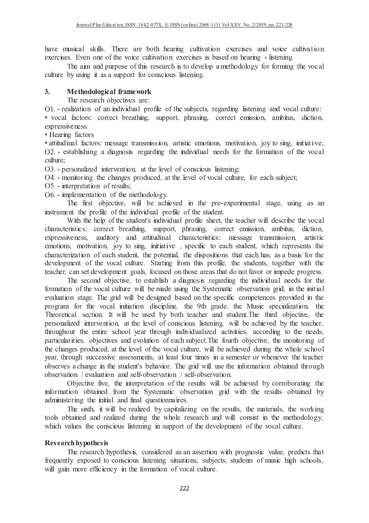have musical skills. There are both hearing cultivation exercises and voice cultivation exercises. Even one of the voice cultivation exercises is based on hearing - listening.

The aim and purpose of this research is to develop a methodology for forming the vocal culture by using it as a support for conscious listening.

### $3<sub>1</sub>$ Methodological framework

The research objectives are:

O1. - realization of an individual profile of the subjects, regarding listening and vocal culture:

· vocal factors: correct breathing, support, phrasing, correct emission, ambitus, diction, expressiveness.

• Hearing factors

· attitudinal factors: message transmission, artistic emotions, motivation, joy to sing, initiative; O2. - establishing a diagnosis regarding the individual needs for the formation of the vocal culture:

O3. - personalized intervention, at the level of conscious listening;

O4. - monitoring the changes produced, at the level of vocal culture, for each subject;

O5. - interpretation of results;

 $O6$ . - implementation of the methodology.

The first objective, will be achieved in the pre-experimental stage, using as an instrument the profile of the individual profile of the student.

With the help of the student's individual profile sheet, the teacher will describe the vocal characteristics: correct breathing, support, phrasing, correct emission, ambitus, diction, expressiveness, auditory and attitudinal characteristics: message transmission, artistic emotions, motivation, joy to sing, initiative, specific to each student, which represents the characterization of each student, the potential, the dispositions that each has, as a basis for the development of the vocal culture. Starting from this profile, the students, together with the teacher, can set development goals, focused on those areas that do not favor or impede progress.

The second objective, to establish a diagnosis regarding the individual needs for the formation of the vocal culture will be made using the Systematic observation grid, in the initial evaluation stage. The grid will be designed based on the specific competences provided in the program for the vocal initiation discipline, the 9th grade, the Music specialization, the Theoretical section. It will be used by both teacher and student. The third objective, the personalized intervention, at the level of conscious listening, will be achieved by the teacher, throughout the entire school year through individualized activities, according to the needs, particularities, objectives and evolution of each subject. The fourth objective, the monitoring of the changes produced, at the level of the vocal culture, will be achieved during the whole school year, through successive assessments, at least four times in a semester or whenever the teacher observes a change in the student's behavior. The grid will use the information obtained through observation / evaluation and self-observation / self-observation.

Objective five, the interpretation of the results will be achieved by corroborating the information obtained from the Systematic observation grid with the results obtained by administering the initial and final questionnaires.

The sixth, it will be realized by capitalizing on the results, the materials, the working tools obtained and realized during the whole research and will consist in the methodology, which values the conscious listening in support of the development of the vocal culture.

## **Research hypothesis**

The research hypothesis, considered as an assertion with prognostic value, predicts that frequently exposed to conscious listening situations, subjects, students of music high schools, will gain more efficiency in the formation of vocal culture.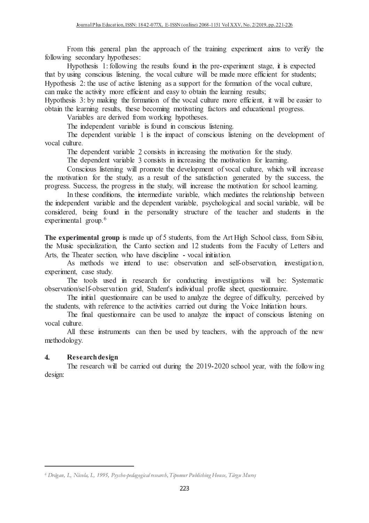$\Sigma_{22}$  and the second relaxation the composale of the trainings experiment since to result, the do llo vyzaa os coo o o sadosay v lav wa o dia o o o o

Utra otheoria - 1 : Collorezia o theo accrete - Correl in the name organization to other or it is presented siansi layaasaan noqotaa qaaraa lagiigaasaan silaa yan oo loogiigaan yyali lag saan do saanaa nubunaassa hora qaaraassa 9 <sup>2</sup> <sup>5</sup> <sup>A</sup> = N <sup>5</sup> <sup>A</sup> <sup>C</sup> <sup>2</sup> <sup>D</sup> <sup>4</sup> <sup>6</sup> <sup>5</sup> @ <sup>5</sup> : <sup>4</sup> <sup>4</sup> <sup>C</sup> <sup>2</sup> <sup>5</sup> <sup>D</sup> <sup>2</sup> <sup>5</sup> <sup>A</sup> <sup>D</sup> <sup>2</sup> <sup>7</sup> <sup>4</sup> <sup>5</sup> <sup>2</sup> <sup>2</sup> <sup>D</sup> <sup>5</sup> <sup>A</sup> <sup>2</sup> <sup>6</sup> <sup>4</sup> @ <sup>6</sup> <sup>C</sup> @ <sup>5</sup> <sup>C</sup> <sup>3</sup> 6 <sup>4</sup> <sup>7</sup> <sup>4</sup> <sup>U</sup> <sup>5</sup> <sup>A</sup> <sup>4</sup> <sup>6</sup> <sup>5</sup> <sup>5</sup> <sup>9</sup> <sup>7</sup> <sup>2</sup> <sup>D</sup> <sup>D</sup> <sup>6</sup> <sup>5</sup> <sup>4</sup> <sup>B</sup> <sup>4</sup> <sup>9</sup> <sup>5</sup> <sup>2</sup> <sup>2</sup> ? <sup>5</sup> <sup>4</sup> <sup>5</sup> <sup>A</sup> @ <sup>4</sup> : <sup>C</sup> @ <sup>5</sup> ;

 $\frac{1}{2}$  The subscript  $\frac{1}{2}$  ,  $\frac{1}{2}$  by  $\frac{1}{2}$  and  $\frac{1}{2}$  for  $\frac{1}{2}$  for  $\frac{1}{2}$   $\frac{1}{2}$   $\frac{1}{2}$   $\frac{1}{2}$   $\frac{1}{2}$   $\frac{1}{2}$   $\frac{1}{2}$   $\frac{1}{2}$   $\frac{1}{2}$   $\frac{1}{2}$   $\frac{1}{2}$   $\frac{1}{2}$   $\frac{1}{2}$  2 ? <sup>5</sup> <sup>4</sup> <sup>5</sup> <sup>A</sup> @ <sup>4</sup> : <sup>C</sup> @ <sup>5</sup> <sup>3</sup> <sup>5</sup> <sup>A</sup> ? <sup>6</sup> <sup>2</sup> <sup>7</sup> : <sup>7</sup> <sup>2</sup> <sup>5</sup> <sup>4</sup> <sup>5</sup> : <sup>D</sup> <sup>4</sup> <sup>6</sup> <sup>5</sup> <sup>2</sup> <sup>4</sup> <sup>B</sup> <sup>B</sup> <sup>C</sup> <sup>6</sup> <sup>4</sup> <sup>5</sup> <sup>2</sup> <sup>4</sup> @ <sup>2</sup> :

 $\Lambda$  *lamin* lake a gain damixed from visual in a leve other can

The index sudent regulate is found in conseious listening

The denominant remiglie 1 is the inmegation consciered listening on the derrolamment of <sup>2</sup> <sup>6</sup> <sup>4</sup> @ <sup>6</sup> <sup>C</sup> @ <sup>5</sup> <sup>C</sup>

The dependent regulate  $\Omega$  consists in increasing the motivation for the study

The dependent republic  $\ell$  consists in increasing the motivation for loaning

 2 <sup>6</sup> <sup>2</sup> <sup>C</sup> @ <sup>5</sup> : <sup>K</sup> @ @ <sup>2</sup> <sup>7</sup> <sup>2</sup> <sup>5</sup> <sup>5</sup> <sup>A</sup> <sup>B</sup> @ <sup>2</sup> <sup>7</sup> <sup>5</sup> <sup>2</sup> <sup>D</sup> <sup>2</sup> <sup>6</sup> <sup>4</sup> @ <sup>6</sup> <sup>C</sup> @ <sup>5</sup> <sup>C</sup> <sup>3</sup> <sup>K</sup> <sup>A</sup> <sup>6</sup> <sup>A</sup> <sup>K</sup> @ @ <sup>6</sup> <sup>4</sup> siao saacabartoobacaa dagaalkina gabrahee oo o sacorrik cab biao godagadoodaacaa gacaacaacaa ilaa grooccoo bia <sup>2</sup> : <sup>O</sup> <sup>C</sup> <sup>6</sup> <sup>6</sup> <sup>3</sup> <sup>5</sup> <sup>A</sup> <sup>2</sup> : <sup>5</sup> <sup>A</sup> <sup>5</sup> <sup>C</sup> <sup>B</sup> <sup>9</sup> <sup>3</sup> <sup>K</sup> @ @ <sup>6</sup> <sup>4</sup> <sup>5</sup> <sup>A</sup> <sup>7</sup> <sup>2</sup> <sup>5</sup> <sup>4</sup> <sup>5</sup> <sup>2</sup> <sup>D</sup> <sup>2</sup> <sup>6</sup> <sup>A</sup> <sup>2</sup> <sup>2</sup> @ @ <sup>4</sup> :

r sa filan an Iomraidhean an filan seoladacha a thosaich in Italia seo cleatan filan seolathaceae lasta ia chran siao wadowadowa dowa zowolało owad siao dowadowa zowolało wozolacło owod owad goodzionale io zzystuła. 6 <sup>2</sup> <sup>B</sup> <sup>B</sup> <sup>3</sup> ? : <sup>D</sup> <sup>2</sup> <sup>C</sup> <sup>B</sup> <sup>5</sup> <sup>A</sup> <sup>2</sup> <sup>4</sup> @ <sup>5</sup> <sup>9</sup> <sup>5</sup> <sup>C</sup> <sup>6</sup> <sup>5</sup> <sup>C</sup> <sup>2</sup> <sup>D</sup> <sup>5</sup> <sup>A</sup> <sup>5</sup> <sup>4</sup> <sup>6</sup> <sup>A</sup> <sup>4</sup> <sup>B</sup> <sup>5</sup> <sup>C</sup> <sup>B</sup> <sup>5</sup> <sup>5</sup> <sup>A</sup>  $\frac{1}{2}$   $\frac{1}{2}$   $\frac{1}{2}$   $\frac{1}{2}$   $\frac{1}{2}$   $\frac{1}{2}$   $\frac{1}{2}$   $\frac{1}{2}$   $\frac{1}{2}$   $\frac{1}{2}$   $\frac{1}{2}$   $\frac{1}{2}$   $\frac{1}{2}$   $\frac{1}{2}$   $\frac{1}{2}$   $\frac{1}{2}$   $\frac{1}{2}$   $\frac{1}{2}$   $\frac{1}{2}$   $\frac{1}{2}$   $\frac{1}{2}$   $\frac{1}{2}$ 

 $\Gamma$  be a wrand weaked anough mede up of  $\epsilon$  atudents. from the Ant Hole Ocheol close. from Olein the Music specialization, the Conte section and 10 students from the  $\Gamma_0$  sultry of Letters on A ato the Theodor cootion who hove discipline to sol initiation

a saconico de vezo santosa di fro zenos olaceanzonicosa, osad ciolat olaceanzoniscus, ssexeoniscustuosa arra assessor as a gan africar

The teels used in percent for conducting investigations will her Centereati z la cientro de cientro la cientro de cientro de cientro la ciencia de cientro la secolulo, cientro de cientro de cientro de cientro

The initial current question and les used to quelives the docuse of difficulty, we wakes did the students with informace to the contribution counted out divisor the Valgo Luitation because

The final experimentation and leaves of the quality that impect of consolarity listening a <sup>2</sup> <sup>6</sup> <sup>4</sup> @ <sup>6</sup> <sup>C</sup> @ <sup>5</sup> <sup>C</sup>

 @ @ <sup>5</sup> <sup>A</sup> <sup>5</sup> <sup>C</sup> <sup>7</sup> <sup>5</sup> <sup>6</sup> <sup>4</sup> <sup>5</sup> <sup>A</sup> ? <sup>C</sup> <sup>B</sup> ? <sup>9</sup> <sup>5</sup> <sup>4</sup> <sup>6</sup> <sup>A</sup> <sup>3</sup> <sup>K</sup> <sup>5</sup> <sup>A</sup> <sup>5</sup> <sup>A</sup> <sup>4</sup> <sup>2</sup> <sup>4</sup> <sup>6</sup> <sup>A</sup> <sup>2</sup> <sup>D</sup> <sup>5</sup> <sup>A</sup> <sup>K</sup> 7 <sup>5</sup> <sup>A</sup> <sup>2</sup> <sup>B</sup> <sup>2</sup> @ <sup>2</sup> : <sup>9</sup>

#### $\overline{\phantom{a}}$  $\blacksquare$  where  $\blacksquare$

The received will be comind out dyning the 0010 0000 select year with the following  $\sim$   $\sim$   $\sim$   $\sim$   $\sim$ 

*<sup>6</sup> Drăgan, I., Nicola, I., 1995, Psycho-pedagogical research, Tipomur Publishing House, Târgu Mureş*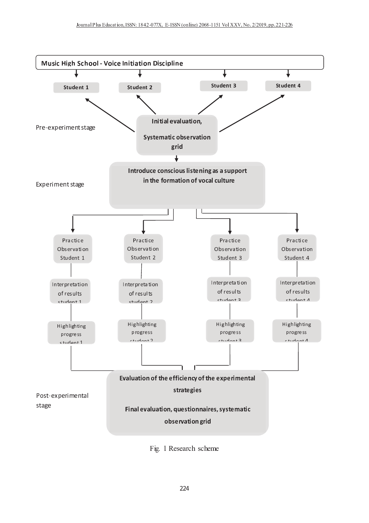

Fig. 1 Research scheme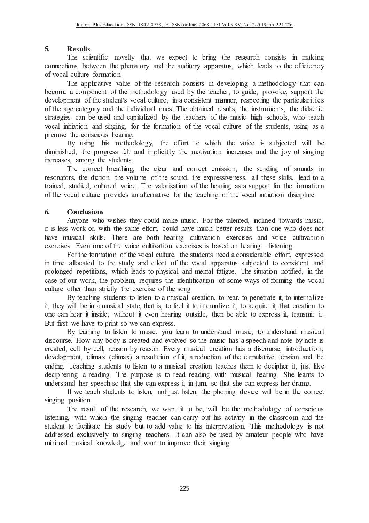### 5. **Results**

@ <sup>A</sup> <sup>B</sup> <sup>C</sup> <sup>D</sup> <sup>E</sup> <sup>B</sup> <sup>F</sup> <sup>G</sup> <sup>E</sup> <sup>H</sup> <sup>E</sup> <sup>D</sup> <sup>F</sup> <sup>I</sup> <sup>J</sup> <sup>B</sup> <sup>K</sup> <sup>G</sup> <sup>L</sup> <sup>G</sup> <sup>A</sup> <sup>M</sup> <sup>G</sup> <sup>N</sup> <sup>B</sup> <sup>B</sup> <sup>O</sup> <sup>P</sup> <sup>B</sup> <sup>D</sup> <sup>G</sup> <sup>G</sup> <sup>I</sup> <sup>Q</sup> <sup>R</sup> <sup>E</sup> <sup>F</sup> <sup>S</sup> <sup>G</sup> <sup>A</sup> <sup>B</sup> <sup>R</sup> <sup>B</sup> <sup>C</sup> <sup>B</sup> <sup>M</sup> <sup>R</sup> <sup>D</sup> <sup>A</sup> <sup>D</sup> <sup>I</sup> <sup>F</sup> <sup>C</sup> <sup>E</sup> <sup>C</sup> <sup>G</sup> <sup>C</sup> <sup>E</sup> <sup>F</sup> <sup>T</sup> <sup>M</sup> <sup>U</sup> <sup>E</sup> <sup>F</sup> <sup>S</sup> D <sup>I</sup> <sup>F</sup> <sup>F</sup> <sup>B</sup> <sup>D</sup> <sup>G</sup> <sup>E</sup> <sup>I</sup> <sup>F</sup> <sup>C</sup> <sup>Q</sup> <sup>B</sup> <sup>G</sup> <sup>N</sup> <sup>B</sup> <sup>B</sup> <sup>F</sup> <sup>G</sup> <sup>A</sup> <sup>B</sup> <sup>P</sup> <sup>A</sup> <sup>I</sup> <sup>F</sup> <sup>M</sup> <sup>G</sup> <sup>I</sup> <sup>R</sup> <sup>L</sup> <sup>M</sup> <sup>F</sup> <sup>V</sup> <sup>G</sup> <sup>A</sup> <sup>B</sup> <sup>M</sup> <sup>W</sup> <sup>V</sup> <sup>E</sup> <sup>G</sup> <sup>I</sup> <sup>R</sup> <sup>L</sup> <sup>M</sup> <sup>P</sup> <sup>P</sup> <sup>M</sup> <sup>R</sup> <sup>M</sup> <sup>G</sup> <sup>W</sup> <sup>C</sup> <sup>X</sup> <sup>N</sup> <sup>A</sup> <sup>E</sup> <sup>D</sup> <sup>A</sup> <sup>K</sup> <sup>B</sup> <sup>M</sup> <sup>V</sup> <sup>C</sup> <sup>G</sup> <sup>I</sup> <sup>G</sup> <sup>A</sup> <sup>B</sup> <sup>B</sup> <sup>H</sup> <sup>H</sup> <sup>E</sup> <sup>D</sup> <sup>E</sup> <sup>B</sup> <sup>F</sup> <sup>D</sup> <sup>L</sup> I <sup>H</sup> <sup>J</sup> <sup>I</sup> <sup>D</sup> <sup>M</sup> <sup>K</sup> <sup>D</sup> <sup>W</sup> <sup>K</sup> <sup>G</sup> <sup>W</sup> <sup>R</sup> <sup>B</sup> <sup>H</sup> <sup>I</sup> <sup>R</sup> <sup>T</sup> <sup>M</sup> <sup>G</sup> <sup>E</sup> <sup>I</sup> <sup>F</sup> <sup>Y</sup>

@ <sup>A</sup> <sup>B</sup> <sup>M</sup> <sup>P</sup> <sup>P</sup> <sup>K</sup> <sup>E</sup> <sup>D</sup> <sup>M</sup> <sup>G</sup> <sup>E</sup> <sup>J</sup> <sup>B</sup> <sup>J</sup> <sup>M</sup> <sup>K</sup> <sup>W</sup> <sup>B</sup> <sup>I</sup> <sup>H</sup> <sup>G</sup> <sup>A</sup> <sup>B</sup> <sup>R</sup> <sup>B</sup> <sup>C</sup> <sup>B</sup> <sup>M</sup> <sup>R</sup> <sup>D</sup> <sup>A</sup> <sup>D</sup> <sup>I</sup> <sup>F</sup> <sup>C</sup> <sup>E</sup> <sup>C</sup> <sup>G</sup> <sup>C</sup> <sup>E</sup> <sup>F</sup> <sup>V</sup> <sup>B</sup> <sup>J</sup> <sup>B</sup> <sup>K</sup> <sup>I</sup> <sup>P</sup> <sup>E</sup> <sup>F</sup> <sup>S</sup> <sup>M</sup> <sup>T</sup> <sup>B</sup> <sup>G</sup> <sup>A</sup> <sup>I</sup> <sup>V</sup> <sup>I</sup> <sup>K</sup> <sup>I</sup> <sup>S</sup> <sup>L</sup> <sup>G</sup> <sup>A</sup> <sup>M</sup> <sup>G</sup> <sup>D</sup> <sup>M</sup> <sup>F</sup> Q <sup>B</sup> <sup>D</sup> <sup>I</sup> <sup>T</sup> <sup>B</sup> <sup>M</sup> <sup>D</sup> <sup>I</sup> <sup>T</sup> <sup>P</sup> <sup>I</sup> <sup>F</sup> <sup>B</sup> <sup>F</sup> <sup>G</sup> <sup>I</sup> <sup>H</sup> <sup>G</sup> <sup>A</sup> <sup>B</sup> <sup>T</sup> <sup>B</sup> <sup>G</sup> <sup>A</sup> <sup>I</sup> <sup>V</sup> <sup>I</sup> <sup>K</sup> <sup>I</sup> <sup>S</sup> <sup>L</sup> <sup>W</sup> <sup>C</sup> <sup>B</sup> <sup>V</sup> <sup>Q</sup> <sup>L</sup> <sup>G</sup> <sup>A</sup> <sup>B</sup> <sup>G</sup> <sup>B</sup> <sup>M</sup> <sup>D</sup> <sup>A</sup> <sup>B</sup> <sup>R</sup> <sup>X</sup> <sup>G</sup> <sup>I</sup> <sup>S</sup> <sup>W</sup> <sup>E</sup> <sup>V</sup> <sup>B</sup> <sup>X</sup> <sup>P</sup> <sup>R</sup> <sup>I</sup> <sup>J</sup> <sup>I</sup> <sup>U</sup> <sup>B</sup> <sup>X</sup> <sup>C</sup> <sup>W</sup> <sup>P</sup> <sup>P</sup> <sup>I</sup> <sup>R</sup> <sup>G</sup> <sup>G</sup> <sup>A</sup> <sup>B</sup>  $\mathcal{A}$  and an and d and d and d and d and d and d and d and d and d and d and d and d and d and d and d and d and d and d and d and d and d and d and d and d and d and d and d and d and d and d and d and d and d and d a I H G A B A B A B A B I G A B I G A B I G A B I G A B E F G A B E F C G A B E F C G R W T G A B G A B V E V G C <sup>G</sup> <sup>R</sup> <sup>M</sup> <sup>G</sup> <sup>B</sup> <sup>S</sup> <sup>E</sup> <sup>B</sup> <sup>C</sup> <sup>D</sup> <sup>M</sup> <sup>F</sup> <sup>Q</sup> <sup>B</sup> <sup>W</sup> <sup>C</sup> <sup>B</sup> <sup>V</sup> <sup>M</sup> <sup>F</sup> <sup>V</sup> <sup>D</sup> <sup>M</sup> <sup>P</sup> <sup>E</sup> <sup>G</sup> <sup>M</sup> <sup>K</sup> <sup>E</sup> [ <sup>B</sup> <sup>V</sup> <sup>Q</sup> <sup>L</sup> <sup>G</sup> <sup>A</sup> <sup>B</sup> <sup>G</sup> <sup>B</sup> <sup>M</sup> <sup>D</sup> <sup>A</sup> <sup>B</sup> <sup>R</sup> <sup>C</sup> <sup>I</sup> <sup>H</sup> <sup>G</sup> <sup>A</sup> <sup>B</sup> <sup>T</sup> <sup>W</sup> <sup>C</sup> <sup>E</sup> <sup>D</sup> <sup>A</sup> <sup>E</sup> <sup>S</sup> <sup>A</sup> <sup>C</sup> <sup>D</sup> <sup>A</sup> <sup>I</sup> <sup>I</sup> <sup>K</sup> <sup>C</sup> <sup>X</sup> <sup>N</sup> <sup>A</sup> <sup>I</sup> <sup>G</sup> <sup>B</sup> <sup>M</sup> <sup>D</sup> <sup>A</sup>  $J$  in the mean fraction of the mean contract in the mean contract of the mean contract in the mean contract of the mean contract in the mean contract of the mean contract in the mean contract of the mean contract in the P <sup>R</sup> <sup>B</sup> <sup>T</sup> <sup>E</sup> <sup>C</sup> <sup>B</sup> <sup>G</sup> <sup>A</sup> <sup>B</sup> <sup>D</sup> <sup>I</sup> <sup>F</sup> <sup>C</sup> <sup>D</sup> <sup>E</sup> <sup>I</sup> <sup>W</sup> <sup>C</sup> <sup>A</sup> <sup>B</sup> <sup>M</sup> <sup>R</sup> <sup>E</sup> <sup>F</sup> <sup>S</sup> <sup>Y</sup>

\ <sup>L</sup> <sup>W</sup> <sup>C</sup> <sup>E</sup> <sup>F</sup> <sup>S</sup> <sup>G</sup> <sup>A</sup> <sup>E</sup> <sup>C</sup> <sup>T</sup> <sup>B</sup> <sup>G</sup> <sup>A</sup> <sup>I</sup> <sup>V</sup> <sup>I</sup> <sup>K</sup> <sup>I</sup> <sup>S</sup> <sup>L</sup> <sup>X</sup> <sup>G</sup> <sup>A</sup> <sup>B</sup> <sup>B</sup> <sup>H</sup> <sup>H</sup> <sup>I</sup> <sup>R</sup> <sup>G</sup> <sup>G</sup> <sup>I</sup> <sup>N</sup> <sup>A</sup> <sup>E</sup> <sup>D</sup> <sup>A</sup> <sup>G</sup> <sup>A</sup> <sup>B</sup> <sup>J</sup> <sup>I</sup> <sup>E</sup> <sup>D</sup> <sup>B</sup> <sup>E</sup> <sup>C</sup> <sup>C</sup> <sup>W</sup> <sup>Q</sup> ] <sup>B</sup> <sup>D</sup> <sup>G</sup> <sup>B</sup> <sup>V</sup> <sup>N</sup> <sup>E</sup> <sup>K</sup> <sup>K</sup> <sup>Q</sup> <sup>B</sup> V <sup>E</sup> <sup>T</sup> <sup>E</sup> <sup>F</sup> <sup>E</sup> <sup>C</sup> <sup>A</sup> <sup>B</sup> <sup>V</sup> <sup>X</sup> <sup>G</sup> <sup>A</sup> <sup>B</sup> <sup>P</sup> <sup>R</sup> <sup>I</sup> <sup>S</sup> <sup>R</sup> <sup>B</sup> <sup>C</sup> <sup>C</sup> <sup>H</sup> <sup>B</sup> <sup>K</sup> <sup>G</sup> <sup>M</sup> <sup>F</sup> <sup>V</sup> <sup>E</sup> <sup>T</sup> <sup>P</sup> <sup>K</sup> <sup>E</sup> <sup>D</sup> <sup>E</sup> <sup>G</sup> <sup>K</sup> <sup>L</sup> <sup>G</sup> <sup>A</sup> <sup>B</sup> <sup>T</sup> <sup>I</sup> <sup>G</sup> <sup>E</sup> <sup>J</sup> <sup>M</sup> <sup>G</sup> <sup>E</sup> <sup>I</sup> <sup>F</sup> <sup>E</sup> <sup>F</sup> <sup>D</sup> <sup>R</sup> <sup>B</sup> <sup>M</sup> <sup>C</sup> <sup>B</sup> <sup>C</sup> <sup>M</sup> <sup>F</sup> <sup>V</sup> <sup>G</sup> <sup>A</sup> <sup>B</sup> ] <sup>I</sup> <sup>L</sup> <sup>I</sup> <sup>H</sup> <sup>C</sup> <sup>E</sup> <sup>F</sup> <sup>S</sup> <sup>E</sup> <sup>F</sup> <sup>S</sup> E F D R B M C B  $\mathcal{L}$  and the set of the set of the set of the set of the set of the set of the set of the set of the set of the set of the set of the set of the set of the set of the set of the set of the set of the s

@ <sup>A</sup> <sup>B</sup> <sup>D</sup> <sup>I</sup> <sup>R</sup> <sup>R</sup> <sup>B</sup> <sup>D</sup> <sup>G</sup> <sup>Q</sup> <sup>R</sup> <sup>B</sup> <sup>M</sup> <sup>G</sup> <sup>A</sup> <sup>E</sup> <sup>F</sup> <sup>S</sup> <sup>X</sup> <sup>G</sup> <sup>A</sup> <sup>B</sup> <sup>D</sup> <sup>K</sup> <sup>B</sup> <sup>M</sup> <sup>R</sup> <sup>M</sup> <sup>F</sup> <sup>V</sup> <sup>D</sup> <sup>I</sup> <sup>R</sup> <sup>R</sup> <sup>B</sup> <sup>D</sup> <sup>G</sup> <sup>B</sup> <sup>T</sup> <sup>E</sup> <sup>C</sup> <sup>C</sup> <sup>E</sup> <sup>I</sup> <sup>F</sup> <sup>X</sup> <sup>G</sup> <sup>A</sup> <sup>B</sup> <sup>C</sup> <sup>B</sup> <sup>F</sup> <sup>V</sup> <sup>E</sup> <sup>F</sup> <sup>S</sup> <sup>I</sup> <sup>H</sup> <sup>C</sup> <sup>I</sup> <sup>W</sup> <sup>F</sup> <sup>V</sup> <sup>C</sup> <sup>E</sup> <sup>F</sup> R <sup>B</sup> <sup>C</sup> <sup>I</sup> <sup>F</sup> <sup>M</sup> <sup>G</sup> <sup>I</sup> <sup>R</sup> <sup>C</sup> <sup>X</sup> <sup>G</sup> <sup>A</sup> <sup>B</sup> <sup>V</sup> <sup>E</sup> <sup>D</sup> <sup>G</sup> <sup>E</sup> <sup>I</sup> <sup>F</sup> <sup>X</sup> <sup>G</sup> <sup>A</sup> <sup>B</sup> <sup>J</sup> <sup>I</sup> <sup>K</sup> <sup>W</sup> <sup>T</sup> <sup>B</sup> <sup>I</sup> <sup>H</sup> <sup>G</sup> <sup>A</sup> <sup>B</sup> <sup>C</sup> <sup>I</sup> <sup>W</sup> <sup>F</sup> <sup>V</sup> <sup>X</sup> <sup>G</sup> <sup>A</sup> <sup>B</sup> <sup>B</sup> <sup>O</sup> <sup>P</sup> <sup>R</sup> <sup>B</sup> <sup>C</sup> <sup>C</sup> <sup>E</sup> <sup>J</sup> <sup>B</sup> <sup>F</sup> <sup>B</sup> <sup>C</sup> <sup>C</sup> <sup>X</sup> <sup>M</sup> <sup>K</sup> <sup>K</sup> <sup>G</sup> <sup>A</sup> <sup>B</sup> <sup>C</sup> <sup>B</sup> <sup>C</sup> <sup>U</sup> <sup>E</sup> <sup>K</sup> <sup>K</sup> <sup>C</sup> <sup>X</sup> <sup>K</sup> <sup>B</sup> <sup>M</sup> <sup>V</sup> <sup>G</sup> <sup>I</sup> <sup>M</sup>  $G$  and the set of the B  $G$  and the set of the set of the set of the set of the set of the set of the set of the set of the set of the set of the set of the set of the set of the set of the set of the set of the set of t I <sup>H</sup> <sup>G</sup> <sup>A</sup> <sup>B</sup> <sup>J</sup> <sup>I</sup> <sup>D</sup> <sup>M</sup> <sup>K</sup> <sup>D</sup> <sup>W</sup> <sup>K</sup> <sup>G</sup> <sup>W</sup> <sup>R</sup> <sup>B</sup> <sup>P</sup> <sup>R</sup> <sup>I</sup> <sup>J</sup> <sup>E</sup> <sup>V</sup> <sup>B</sup> <sup>C</sup> <sup>M</sup> <sup>F</sup> <sup>M</sup> <sup>K</sup> <sup>G</sup> <sup>B</sup> <sup>R</sup> <sup>F</sup> <sup>M</sup> <sup>G</sup> <sup>E</sup> <sup>J</sup> <sup>B</sup> <sup>H</sup> <sup>I</sup> <sup>R</sup> <sup>G</sup> <sup>A</sup> <sup>B</sup> <sup>G</sup> <sup>B</sup> <sup>M</sup> <sup>D</sup> <sup>A</sup> <sup>E</sup> <sup>F</sup> <sup>S</sup> <sup>I</sup> <sup>H</sup> <sup>G</sup> <sup>A</sup> <sup>B</sup> <sup>J</sup> <sup>I</sup> <sup>D</sup> <sup>M</sup> <sup>K</sup> <sup>E</sup> <sup>F</sup> <sup>E</sup> <sup>G</sup> <sup>E</sup> <sup>M</sup> <sup>G</sup> <sup>E</sup> <sup>I</sup> <sup>F</sup> <sup>V</sup> <sup>E</sup> <sup>C</sup> <sup>D</sup> <sup>E</sup> <sup>P</sup> <sup>K</sup> <sup>E</sup> <sup>F</sup> <sup>B</sup> <sup>Y</sup>

### $\overline{\phantom{a}}$ Conclusions

d F <sup>L</sup> <sup>I</sup> <sup>F</sup> <sup>B</sup> <sup>N</sup> <sup>A</sup> <sup>I</sup> <sup>N</sup> <sup>E</sup> <sup>C</sup> <sup>A</sup> <sup>B</sup> <sup>C</sup> <sup>G</sup> <sup>A</sup> <sup>B</sup> <sup>L</sup> <sup>D</sup> <sup>I</sup> <sup>W</sup> <sup>K</sup> <sup>V</sup> <sup>T</sup> <sup>M</sup> <sup>U</sup> <sup>B</sup> <sup>T</sup> <sup>W</sup> <sup>C</sup> <sup>E</sup> <sup>D</sup> <sup>Y</sup> <sup>e</sup> <sup>I</sup> <sup>R</sup> <sup>G</sup> <sup>A</sup> <sup>B</sup> <sup>G</sup> <sup>M</sup> <sup>K</sup> <sup>B</sup> <sup>F</sup> <sup>G</sup> <sup>B</sup> <sup>V</sup> <sup>X</sup> <sup>E</sup> <sup>F</sup> <sup>D</sup> <sup>K</sup> <sup>E</sup> <sup>F</sup> <sup>B</sup> <sup>V</sup> <sup>G</sup> <sup>I</sup> <sup>N</sup> <sup>M</sup> <sup>R</sup> <sup>V</sup> <sup>C</sup> <sup>T</sup> <sup>W</sup> <sup>C</sup> <sup>E</sup> <sup>D</sup> <sup>X</sup> E <sup>G</sup> <sup>E</sup> <sup>C</sup> <sup>K</sup> <sup>B</sup> <sup>C</sup> <sup>C</sup> <sup>N</sup> <sup>I</sup> <sup>R</sup> <sup>U</sup> <sup>I</sup> <sup>R</sup> <sup>X</sup> <sup>N</sup> <sup>E</sup> <sup>G</sup> <sup>A</sup> <sup>G</sup> <sup>A</sup> <sup>B</sup> <sup>C</sup> <sup>M</sup> <sup>T</sup> <sup>B</sup> <sup>B</sup> <sup>H</sup> <sup>H</sup> <sup>I</sup> <sup>R</sup> <sup>G</sup> <sup>X</sup> <sup>D</sup> <sup>I</sup> <sup>W</sup> <sup>K</sup> <sup>V</sup> <sup>A</sup> <sup>M</sup> <sup>J</sup> <sup>B</sup> <sup>T</sup> <sup>W</sup> <sup>D</sup> <sup>A</sup> <sup>Q</sup> <sup>B</sup> <sup>G</sup> <sup>G</sup> <sup>B</sup> <sup>R</sup> <sup>R</sup> <sup>B</sup> <sup>C</sup> <sup>W</sup> <sup>K</sup> <sup>G</sup> <sup>C</sup> <sup>G</sup> <sup>A</sup> <sup>M</sup> <sup>F</sup> <sup>I</sup> <sup>F</sup> <sup>B</sup> <sup>N</sup> <sup>A</sup> <sup>I</sup> <sup>V</sup> <sup>I</sup> <sup>B</sup> <sup>C</sup> <sup>F</sup> <sup>I</sup> <sup>G</sup> A <sup>M</sup> <sup>J</sup> <sup>B</sup> <sup>T</sup> <sup>W</sup> <sup>C</sup> <sup>E</sup> <sup>D</sup> <sup>M</sup> <sup>K</sup> <sup>C</sup> <sup>U</sup> <sup>E</sup> <sup>K</sup> <sup>K</sup> <sup>C</sup> <sup>Y</sup> @ <sup>A</sup> <sup>B</sup> <sup>R</sup> <sup>B</sup> <sup>M</sup> <sup>R</sup> <sup>B</sup> <sup>Q</sup> <sup>I</sup> <sup>G</sup> <sup>A</sup> <sup>A</sup> <sup>B</sup> <sup>M</sup> <sup>R</sup> <sup>E</sup> <sup>F</sup> <sup>S</sup> <sup>D</sup> <sup>W</sup> <sup>K</sup> <sup>G</sup> <sup>E</sup> <sup>J</sup> <sup>M</sup> <sup>G</sup> <sup>E</sup> <sup>I</sup> <sup>F</sup> <sup>B</sup> <sup>O</sup> <sup>B</sup> <sup>R</sup> <sup>D</sup> <sup>E</sup> <sup>C</sup> <sup>B</sup> <sup>C</sup> <sup>M</sup> <sup>F</sup> <sup>V</sup> <sup>J</sup> <sup>I</sup> <sup>E</sup> <sup>D</sup> <sup>B</sup> <sup>D</sup> <sup>W</sup> <sup>K</sup> <sup>G</sup> <sup>E</sup> <sup>J</sup> <sup>M</sup> <sup>G</sup> <sup>E</sup> <sup>I</sup> <sup>F</sup> B <sup>O</sup> <sup>B</sup> <sup>R</sup> <sup>D</sup> <sup>E</sup> <sup>C</sup> <sup>B</sup> <sup>C</sup> <sup>Y</sup> <sup>f</sup> <sup>J</sup> <sup>B</sup> <sup>F</sup> <sup>I</sup> <sup>F</sup> <sup>B</sup> <sup>I</sup> <sup>H</sup> <sup>G</sup> <sup>A</sup> <sup>B</sup> <sup>J</sup> <sup>I</sup> <sup>E</sup> <sup>D</sup> <sup>B</sup> <sup>D</sup> <sup>W</sup> <sup>K</sup> <sup>G</sup> <sup>E</sup> <sup>J</sup> <sup>M</sup> <sup>G</sup> <sup>E</sup> <sup>I</sup> <sup>F</sup> <sup>B</sup> <sup>O</sup> <sup>B</sup> <sup>R</sup> <sup>D</sup> <sup>E</sup> <sup>C</sup> <sup>B</sup> <sup>C</sup> <sup>E</sup> <sup>C</sup> <sup>Q</sup> <sup>M</sup> <sup>C</sup> <sup>B</sup> <sup>V</sup> <sup>I</sup> <sup>F</sup> <sup>A</sup> <sup>B</sup> <sup>M</sup> <sup>R</sup> <sup>E</sup> <sup>F</sup> <sup>S</sup> <sup>g</sup> <sup>K</sup> <sup>E</sup> <sup>C</sup> <sup>G</sup> <sup>B</sup> <sup>F</sup> <sup>E</sup> <sup>F</sup> <sup>S</sup> <sup>Y</sup>

e <sup>I</sup> <sup>R</sup> <sup>G</sup> <sup>A</sup> <sup>B</sup> <sup>H</sup> <sup>I</sup> <sup>R</sup> <sup>T</sup> <sup>M</sup> <sup>G</sup> <sup>E</sup> <sup>I</sup> <sup>F</sup> <sup>I</sup> <sup>H</sup> <sup>G</sup> <sup>A</sup> <sup>B</sup> <sup>J</sup> <sup>I</sup> <sup>D</sup> <sup>M</sup> <sup>K</sup> <sup>D</sup> <sup>W</sup> <sup>K</sup> <sup>G</sup> <sup>W</sup> <sup>R</sup> <sup>B</sup> <sup>X</sup> <sup>G</sup> <sup>A</sup> <sup>B</sup> <sup>C</sup> <sup>G</sup> <sup>W</sup> <sup>V</sup> <sup>B</sup> <sup>F</sup> <sup>G</sup> <sup>C</sup> <sup>F</sup> <sup>B</sup> <sup>B</sup> <sup>V</sup> <sup>M</sup> <sup>D</sup> <sup>I</sup> <sup>F</sup> <sup>C</sup> <sup>E</sup> <sup>V</sup> <sup>B</sup> <sup>R</sup> <sup>M</sup> <sup>Q</sup> <sup>K</sup> <sup>B</sup> <sup>B</sup> <sup>H</sup> <sup>H</sup> <sup>I</sup> <sup>R</sup> <sup>G</sup> <sup>X</sup> <sup>B</sup> <sup>O</sup> <sup>P</sup> <sup>R</sup> <sup>B</sup> <sup>C</sup> <sup>C</sup> <sup>B</sup> <sup>V</sup> E <sup>F</sup> <sup>G</sup> <sup>E</sup> <sup>T</sup> <sup>B</sup> <sup>M</sup> <sup>K</sup> <sup>K</sup> <sup>I</sup> <sup>D</sup> <sup>M</sup> <sup>G</sup> <sup>B</sup> <sup>V</sup> <sup>G</sup> <sup>I</sup> <sup>G</sup> <sup>A</sup> <sup>B</sup> <sup>C</sup> <sup>G</sup> <sup>W</sup> <sup>V</sup> <sup>L</sup> <sup>M</sup> <sup>F</sup> <sup>V</sup> <sup>B</sup> <sup>H</sup> <sup>H</sup> <sup>I</sup> <sup>R</sup> <sup>G</sup> <sup>I</sup> <sup>H</sup> <sup>G</sup> <sup>A</sup> <sup>B</sup> <sup>J</sup> <sup>I</sup> <sup>D</sup> <sup>M</sup> <sup>K</sup> <sup>M</sup> <sup>P</sup> <sup>P</sup> <sup>M</sup> <sup>R</sup> <sup>M</sup> <sup>G</sup> <sup>W</sup> <sup>C</sup> <sup>C</sup> <sup>W</sup> <sup>Q</sup> ] <sup>B</sup> <sup>D</sup> <sup>G</sup> <sup>B</sup> <sup>V</sup> <sup>G</sup> <sup>I</sup> <sup>D</sup> <sup>I</sup> <sup>F</sup> <sup>C</sup> <sup>E</sup> <sup>C</sup> <sup>G</sup> <sup>B</sup> <sup>F</sup> <sup>G</sup> <sup>M</sup> <sup>F</sup> <sup>V</sup> P <sup>R</sup> <sup>I</sup> <sup>K</sup> <sup>I</sup> <sup>F</sup> <sup>S</sup> <sup>B</sup> <sup>V</sup> <sup>R</sup> <sup>B</sup> <sup>P</sup> <sup>B</sup> <sup>G</sup> <sup>E</sup> <sup>G</sup> <sup>E</sup> <sup>I</sup> <sup>F</sup> <sup>C</sup> <sup>X</sup> <sup>N</sup> <sup>A</sup> <sup>E</sup> <sup>D</sup> <sup>A</sup> <sup>K</sup> <sup>B</sup> <sup>M</sup> <sup>V</sup> <sup>C</sup> <sup>G</sup> <sup>I</sup> <sup>P</sup> <sup>A</sup> <sup>L</sup> <sup>C</sup> <sup>E</sup> <sup>D</sup> <sup>M</sup> <sup>K</sup> <sup>M</sup> <sup>F</sup> <sup>V</sup> <sup>T</sup> <sup>B</sup> <sup>F</sup> <sup>G</sup> <sup>M</sup> <sup>K</sup> <sup>H</sup> <sup>M</sup> <sup>G</sup> <sup>E</sup> <sup>S</sup> <sup>W</sup> <sup>B</sup> <sup>Y</sup> @ <sup>A</sup> <sup>B</sup> <sup>C</sup> <sup>E</sup> <sup>G</sup> <sup>W</sup> <sup>M</sup> <sup>G</sup> <sup>E</sup> <sup>I</sup> <sup>F</sup> <sup>F</sup> <sup>I</sup> <sup>G</sup> <sup>E</sup> <sup>H</sup> <sup>E</sup> <sup>B</sup> <sup>V</sup> <sup>X</sup> <sup>E</sup> <sup>F</sup> <sup>G</sup> <sup>A</sup> <sup>B</sup> D <sup>M</sup> <sup>C</sup> <sup>B</sup> <sup>I</sup> <sup>H</sup> <sup>I</sup> <sup>W</sup> <sup>R</sup> <sup>N</sup> <sup>I</sup> <sup>R</sup> <sup>U</sup> <sup>X</sup> <sup>G</sup> <sup>A</sup> <sup>B</sup> <sup>P</sup> <sup>R</sup> <sup>I</sup> <sup>Q</sup> <sup>K</sup> <sup>B</sup> <sup>T</sup> <sup>X</sup> <sup>R</sup> <sup>B</sup> <sup>h</sup> <sup>W</sup> <sup>E</sup> <sup>R</sup> <sup>B</sup> <sup>C</sup> <sup>G</sup> <sup>A</sup> <sup>B</sup> <sup>E</sup> <sup>V</sup> <sup>B</sup> <sup>F</sup> <sup>G</sup> <sup>E</sup> <sup>H</sup> <sup>E</sup> <sup>D</sup> <sup>M</sup> <sup>G</sup> <sup>E</sup> <sup>I</sup> <sup>F</sup> <sup>I</sup> <sup>H</sup> <sup>C</sup> <sup>I</sup> <sup>T</sup> <sup>B</sup> <sup>N</sup> <sup>M</sup> <sup>L</sup> <sup>C</sup> <sup>I</sup> <sup>H</sup> <sup>H</sup> <sup>I</sup> <sup>R</sup> <sup>T</sup> <sup>E</sup> <sup>F</sup> <sup>S</sup> <sup>G</sup> <sup>A</sup> <sup>B</sup> <sup>J</sup> <sup>I</sup> <sup>D</sup> <sup>M</sup> <sup>K</sup> D <sup>W</sup> <sup>K</sup> <sup>G</sup> <sup>W</sup> <sup>R</sup> <sup>B</sup> <sup>I</sup> <sup>G</sup> <sup>A</sup> <sup>B</sup> <sup>R</sup> <sup>G</sup> <sup>A</sup> <sup>M</sup> <sup>F</sup> <sup>C</sup> <sup>G</sup> <sup>R</sup> <sup>E</sup> <sup>D</sup> <sup>G</sup> <sup>K</sup> <sup>L</sup> <sup>G</sup> <sup>A</sup> <sup>B</sup> <sup>B</sup> <sup>O</sup> <sup>B</sup> <sup>R</sup> <sup>D</sup> <sup>E</sup> <sup>C</sup> <sup>B</sup> <sup>I</sup> <sup>H</sup> <sup>G</sup> <sup>A</sup> <sup>B</sup> <sup>C</sup> <sup>I</sup> <sup>F</sup> <sup>S</sup> <sup>Y</sup>

\ <sup>L</sup> <sup>G</sup> <sup>B</sup> <sup>M</sup> <sup>D</sup> <sup>A</sup> <sup>E</sup> <sup>F</sup> <sup>S</sup> <sup>C</sup> <sup>G</sup> <sup>W</sup> <sup>V</sup> <sup>B</sup> <sup>F</sup> <sup>G</sup> <sup>C</sup> <sup>G</sup> <sup>I</sup> <sup>K</sup> <sup>E</sup> <sup>C</sup> <sup>G</sup> <sup>B</sup> <sup>F</sup> <sup>G</sup> <sup>I</sup> <sup>M</sup> <sup>T</sup> <sup>W</sup> <sup>C</sup> <sup>E</sup> <sup>D</sup> <sup>M</sup> <sup>K</sup> <sup>D</sup> <sup>R</sup> <sup>B</sup> <sup>M</sup> <sup>G</sup> <sup>E</sup> <sup>I</sup> <sup>F</sup> <sup>X</sup> <sup>G</sup> <sup>I</sup> <sup>A</sup> <sup>B</sup> <sup>M</sup> <sup>R</sup> <sup>X</sup> <sup>G</sup> <sup>I</sup> <sup>P</sup> <sup>B</sup> <sup>F</sup> <sup>B</sup> <sup>G</sup> <sup>R</sup> <sup>M</sup> <sup>G</sup> <sup>B</sup> <sup>E</sup> <sup>G</sup> <sup>X</sup> <sup>G</sup> <sup>I</sup> <sup>E</sup> <sup>F</sup> <sup>G</sup> <sup>B</sup> <sup>R</sup> <sup>F</sup> <sup>M</sup> <sup>K</sup> <sup>E</sup> [ <sup>B</sup> E <sup>G</sup> <sup>X</sup> <sup>G</sup> <sup>A</sup> <sup>B</sup> <sup>L</sup> <sup>N</sup> <sup>E</sup> <sup>K</sup> <sup>K</sup> <sup>Q</sup> <sup>B</sup> <sup>E</sup> <sup>F</sup> <sup>M</sup> <sup>T</sup> <sup>W</sup> <sup>C</sup> <sup>E</sup> <sup>D</sup> <sup>M</sup> <sup>K</sup> <sup>C</sup> <sup>G</sup> <sup>M</sup> <sup>G</sup> <sup>B</sup> <sup>X</sup> <sup>G</sup> <sup>A</sup> <sup>M</sup> <sup>G</sup> <sup>E</sup> <sup>C</sup> <sup>X</sup> <sup>G</sup> <sup>I</sup> <sup>H</sup> <sup>B</sup> <sup>B</sup> <sup>K</sup> <sup>E</sup> <sup>G</sup> <sup>G</sup> <sup>I</sup> <sup>E</sup> <sup>F</sup> <sup>G</sup> <sup>B</sup> <sup>R</sup> <sup>F</sup> <sup>M</sup> <sup>K</sup> <sup>E</sup> [ <sup>B</sup> <sup>E</sup> <sup>G</sup> <sup>X</sup> <sup>G</sup> <sup>I</sup> <sup>M</sup> <sup>D</sup> <sup>h</sup> <sup>W</sup> <sup>E</sup> <sup>R</sup> <sup>B</sup> <sup>E</sup> <sup>G</sup> <sup>X</sup> <sup>G</sup> <sup>A</sup> <sup>M</sup> <sup>G</sup> <sup>D</sup> <sup>R</sup> <sup>B</sup> <sup>M</sup> <sup>G</sup> <sup>E</sup> <sup>I</sup> <sup>F</sup> <sup>G</sup> <sup>I</sup> I <sup>F</sup> <sup>B</sup> <sup>D</sup> <sup>M</sup> <sup>F</sup> <sup>A</sup> <sup>B</sup> <sup>M</sup> <sup>R</sup> <sup>E</sup> <sup>G</sup> <sup>E</sup> <sup>F</sup> <sup>C</sup> <sup>E</sup> <sup>V</sup> <sup>B</sup> <sup>X</sup> <sup>N</sup> <sup>E</sup> <sup>G</sup> <sup>A</sup> <sup>I</sup> <sup>W</sup> <sup>G</sup> <sup>E</sup> <sup>G</sup> <sup>B</sup> <sup>J</sup> <sup>B</sup> <sup>F</sup> <sup>A</sup> <sup>B</sup> <sup>M</sup> <sup>R</sup> <sup>E</sup> <sup>F</sup> <sup>S</sup> <sup>I</sup> <sup>W</sup> <sup>G</sup> <sup>C</sup> <sup>E</sup> <sup>V</sup> <sup>B</sup> <sup>X</sup> <sup>G</sup> <sup>A</sup> <sup>B</sup> <sup>F</sup> <sup>Q</sup> <sup>B</sup> <sup>M</sup> <sup>Q</sup> <sup>K</sup> <sup>B</sup> <sup>G</sup> <sup>I</sup> <sup>B</sup> <sup>O</sup> <sup>P</sup> <sup>R</sup> <sup>B</sup> <sup>C</sup> <sup>C</sup> <sup>E</sup> <sup>G</sup> <sup>X</sup> <sup>G</sup> <sup>R</sup> <sup>M</sup> <sup>F</sup> <sup>C</sup> <sup>T</sup> <sup>E</sup> <sup>G</sup> <sup>E</sup> <sup>G</sup> <sup>Y</sup>  $\equiv$  G  $\sim$  G  $\sim$  G  $\sim$  G  $\sim$  G i  $\sim$  G  $\sim$  G  $\sim$  G  $\sim$  G  $\sim$  G  $\sim$  G  $\sim$  G  $\sim$  G  $\sim$  G  $\sim$  G  $\sim$  G  $\sim$  G  $\sim$  G  $\sim$  G  $\sim$  G  $\sim$  G  $\sim$  G  $\sim$  G  $\sim$  G  $\sim$  G  $\sim$  G  $\sim$  G  $\sim$  G  $\sim$  G  $\sim$  G  $\sim$  G  $\$ 

\ <sup>L</sup> <sup>K</sup> <sup>B</sup> <sup>M</sup> <sup>R</sup> <sup>F</sup> <sup>E</sup> <sup>F</sup> <sup>S</sup> <sup>G</sup> <sup>I</sup> <sup>K</sup> <sup>E</sup> <sup>C</sup> <sup>G</sup> <sup>B</sup> <sup>F</sup> <sup>G</sup> <sup>I</sup> <sup>T</sup> <sup>W</sup> <sup>C</sup> <sup>E</sup> <sup>D</sup> <sup>X</sup> <sup>L</sup> <sup>I</sup> <sup>W</sup> <sup>K</sup> <sup>B</sup> <sup>M</sup> <sup>R</sup> <sup>F</sup> <sup>G</sup> <sup>I</sup> <sup>W</sup> <sup>F</sup> <sup>V</sup> <sup>B</sup> <sup>R</sup> <sup>C</sup> <sup>G</sup> <sup>M</sup> <sup>F</sup> <sup>V</sup> <sup>T</sup> <sup>W</sup> <sup>C</sup> <sup>E</sup> <sup>D</sup> <sup>X</sup> <sup>G</sup> <sup>I</sup> <sup>W</sup> <sup>F</sup> <sup>V</sup> <sup>B</sup> <sup>R</sup> <sup>C</sup> <sup>G</sup> <sup>M</sup> <sup>F</sup> <sup>V</sup> <sup>T</sup> <sup>W</sup> <sup>C</sup> <sup>E</sup> <sup>D</sup> <sup>M</sup> <sup>K</sup> V <sup>E</sup> <sup>C</sup> <sup>D</sup> <sup>I</sup> <sup>W</sup> <sup>R</sup> <sup>C</sup> <sup>B</sup> <sup>Y</sup> <sup>i</sup> <sup>I</sup> <sup>N</sup> <sup>M</sup> <sup>F</sup> <sup>L</sup> <sup>Q</sup> <sup>I</sup> <sup>V</sup> <sup>L</sup> <sup>E</sup> <sup>C</sup> <sup>D</sup> <sup>R</sup> <sup>B</sup> <sup>M</sup> <sup>G</sup> <sup>B</sup> <sup>V</sup> <sup>M</sup> <sup>F</sup> <sup>V</sup> <sup>B</sup> <sup>J</sup> <sup>I</sup> <sup>K</sup> <sup>J</sup> <sup>B</sup> <sup>V</sup> <sup>C</sup> <sup>I</sup> <sup>G</sup> <sup>A</sup> <sup>B</sup> <sup>T</sup> <sup>W</sup> <sup>C</sup> <sup>E</sup> <sup>D</sup> <sup>A</sup> <sup>M</sup> <sup>C</sup> <sup>M</sup> <sup>C</sup> <sup>P</sup> <sup>B</sup> <sup>B</sup> <sup>D</sup> <sup>A</sup> <sup>M</sup> <sup>F</sup> <sup>V</sup> <sup>F</sup> <sup>I</sup> <sup>G</sup> <sup>B</sup> <sup>Q</sup> <sup>L</sup> <sup>F</sup> <sup>I</sup> <sup>G</sup> <sup>B</sup> <sup>E</sup> <sup>C</sup> D <sup>R</sup> <sup>B</sup> <sup>M</sup> <sup>G</sup> <sup>B</sup> <sup>V</sup> <sup>X</sup> <sup>D</sup> <sup>B</sup> <sup>K</sup> <sup>K</sup> <sup>Q</sup> <sup>L</sup> <sup>D</sup> <sup>B</sup> <sup>K</sup> <sup>K</sup> <sup>X</sup> <sup>R</sup> <sup>B</sup> <sup>M</sup> <sup>C</sup> <sup>I</sup> <sup>F</sup> <sup>Q</sup> <sup>L</sup> <sup>R</sup> <sup>B</sup> <sup>M</sup> <sup>C</sup> <sup>I</sup> <sup>F</sup> <sup>Y</sup> <sup>f</sup> <sup>J</sup> <sup>B</sup> <sup>R</sup> <sup>L</sup> <sup>T</sup> <sup>W</sup> <sup>C</sup> <sup>E</sup> <sup>D</sup> <sup>M</sup> <sup>K</sup> <sup>D</sup> <sup>R</sup> <sup>B</sup> <sup>M</sup> <sup>G</sup> <sup>E</sup> <sup>I</sup> <sup>F</sup> <sup>A</sup> <sup>M</sup> <sup>C</sup> <sup>M</sup> <sup>V</sup> <sup>E</sup> <sup>C</sup> <sup>D</sup> <sup>I</sup> <sup>W</sup> <sup>R</sup> <sup>C</sup> <sup>B</sup> <sup>X</sup> <sup>E</sup> <sup>F</sup> <sup>G</sup> <sup>R</sup> <sup>I</sup> <sup>V</sup> <sup>W</sup> <sup>D</sup> <sup>G</sup> <sup>E</sup> <sup>I</sup> <sup>F</sup> <sup>X</sup> V <sup>B</sup> <sup>J</sup> <sup>B</sup> <sup>K</sup> <sup>I</sup> <sup>P</sup> <sup>T</sup> <sup>B</sup> <sup>F</sup> <sup>G</sup> <sup>X</sup> <sup>D</sup> <sup>K</sup> <sup>E</sup> <sup>T</sup> <sup>M</sup> <sup>O</sup> <sup>j</sup> <sup>D</sup> <sup>K</sup> <sup>E</sup> <sup>T</sup> <sup>M</sup> <sup>O</sup> <sup>k</sup> <sup>M</sup> <sup>R</sup> <sup>B</sup> <sup>C</sup> <sup>I</sup> <sup>K</sup> <sup>W</sup> <sup>G</sup> <sup>E</sup> <sup>I</sup> <sup>F</sup> <sup>I</sup> <sup>H</sup> <sup>E</sup> <sup>G</sup> <sup>X</sup> <sup>M</sup> <sup>R</sup> <sup>B</sup> <sup>V</sup> <sup>W</sup> <sup>D</sup> <sup>G</sup> <sup>E</sup> <sup>I</sup> <sup>F</sup> <sup>I</sup> <sup>H</sup> <sup>G</sup> <sup>A</sup> <sup>B</sup> <sup>D</sup> <sup>W</sup> <sup>T</sup> <sup>W</sup> <sup>K</sup> <sup>M</sup> <sup>G</sup> <sup>E</sup> <sup>J</sup> <sup>B</sup> <sup>G</sup> <sup>B</sup> <sup>F</sup> <sup>C</sup> <sup>E</sup> <sup>I</sup> <sup>F</sup> <sup>M</sup> <sup>F</sup> <sup>V</sup> <sup>G</sup> <sup>A</sup> <sup>B</sup> B <sup>F</sup> <sup>V</sup> <sup>E</sup> <sup>F</sup> <sup>S</sup> <sup>Y</sup> @ <sup>B</sup> <sup>M</sup> <sup>D</sup> <sup>A</sup> <sup>E</sup> <sup>F</sup> <sup>S</sup> <sup>C</sup> <sup>G</sup> <sup>W</sup> <sup>V</sup> <sup>B</sup> <sup>F</sup> <sup>G</sup> <sup>C</sup> <sup>G</sup> <sup>I</sup> <sup>K</sup> <sup>E</sup> <sup>C</sup> <sup>G</sup> <sup>B</sup> <sup>F</sup> <sup>G</sup> <sup>I</sup> <sup>M</sup> <sup>T</sup> <sup>W</sup> <sup>C</sup> <sup>E</sup> <sup>D</sup> <sup>M</sup> <sup>K</sup> <sup>D</sup> <sup>R</sup> <sup>B</sup> <sup>M</sup> <sup>G</sup> <sup>E</sup> <sup>I</sup> <sup>F</sup> <sup>G</sup> <sup>B</sup> <sup>M</sup> <sup>D</sup> <sup>A</sup> <sup>B</sup> <sup>C</sup> <sup>G</sup> <sup>A</sup> <sup>B</sup> <sup>T</sup> <sup>G</sup> <sup>I</sup> <sup>V</sup> <sup>B</sup> <sup>D</sup> <sup>E</sup> <sup>P</sup> <sup>A</sup> <sup>B</sup> <sup>R</sup> <sup>E</sup> <sup>G</sup> <sup>X</sup> ] <sup>W</sup> <sup>C</sup> <sup>G</sup> <sup>K</sup> <sup>E</sup> <sup>U</sup> <sup>B</sup>  $\mathcal{S}$  and a b P i c a B a B a B a B a t a b a set of the set of the set of the set of the set of the set of the set of the set of the set of the set of the set of the set of the set of the set of the set of the set of  $W$  and a matrix and a b d a b d a matrix and a g a matrix and a matrix and a b d m f  $W$  R  $\mu$  and a b  $W$  R  $\mu$  and a b  $W$ 

m <sup>H</sup> <sup>N</sup> <sup>B</sup> <sup>G</sup> <sup>B</sup> <sup>M</sup> <sup>D</sup> <sup>A</sup> <sup>C</sup> <sup>G</sup> <sup>W</sup> <sup>V</sup> <sup>B</sup> <sup>F</sup> <sup>G</sup> <sup>C</sup> <sup>G</sup> <sup>I</sup> <sup>K</sup> <sup>E</sup> <sup>C</sup> <sup>G</sup> <sup>B</sup> <sup>F</sup> <sup>X</sup> <sup>F</sup> <sup>I</sup> <sup>G</sup> ] <sup>W</sup> <sup>C</sup> <sup>G</sup> <sup>K</sup> <sup>E</sup> <sup>C</sup> <sup>G</sup> <sup>B</sup> <sup>F</sup> <sup>X</sup> <sup>G</sup> <sup>A</sup> <sup>B</sup> <sup>P</sup> <sup>A</sup> <sup>I</sup> <sup>F</sup> <sup>E</sup> <sup>F</sup> <sup>S</sup> <sup>V</sup> <sup>B</sup> <sup>J</sup> <sup>E</sup> <sup>D</sup> <sup>B</sup> <sup>N</sup> <sup>E</sup> <sup>K</sup> <sup>K</sup> <sup>Q</sup> <sup>B</sup> <sup>E</sup> <sup>F</sup> <sup>G</sup> <sup>A</sup> <sup>B</sup> <sup>D</sup> <sup>I</sup> <sup>R</sup> <sup>R</sup> <sup>B</sup> <sup>D</sup> <sup>G</sup>  $\blacksquare$ 

@ <sup>A</sup> <sup>B</sup> <sup>R</sup> <sup>B</sup> <sup>C</sup> <sup>W</sup> <sup>K</sup> <sup>G</sup> <sup>I</sup> <sup>H</sup> <sup>G</sup> <sup>A</sup> <sup>B</sup> <sup>R</sup> <sup>B</sup> <sup>C</sup> <sup>B</sup> <sup>M</sup> <sup>R</sup> <sup>D</sup> <sup>A</sup> <sup>X</sup> <sup>N</sup> <sup>B</sup> <sup>N</sup> <sup>M</sup> <sup>F</sup> <sup>G</sup> <sup>E</sup> <sup>G</sup> <sup>G</sup> <sup>I</sup> <sup>Q</sup> <sup>B</sup> <sup>X</sup> <sup>N</sup> <sup>E</sup> <sup>K</sup> <sup>K</sup> <sup>Q</sup> <sup>B</sup> <sup>G</sup> <sup>A</sup> <sup>B</sup> <sup>T</sup> <sup>B</sup> <sup>G</sup> <sup>A</sup> <sup>I</sup> <sup>V</sup> <sup>I</sup> <sup>K</sup> <sup>I</sup> <sup>S</sup> <sup>L</sup> <sup>I</sup> <sup>H</sup> <sup>D</sup> <sup>I</sup> <sup>F</sup> <sup>C</sup> <sup>D</sup> <sup>E</sup> <sup>I</sup> <sup>W</sup> <sup>C</sup> K <sup>E</sup> <sup>C</sup> <sup>G</sup> <sup>B</sup> <sup>F</sup> <sup>E</sup> <sup>F</sup> <sup>S</sup> <sup>X</sup> <sup>N</sup> <sup>E</sup> <sup>G</sup> <sup>A</sup> <sup>N</sup> <sup>A</sup> <sup>E</sup> <sup>D</sup> <sup>A</sup> <sup>G</sup> <sup>A</sup> <sup>B</sup> <sup>C</sup> <sup>E</sup> <sup>F</sup> <sup>S</sup> <sup>E</sup> <sup>F</sup> <sup>S</sup> <sup>G</sup> <sup>B</sup> <sup>M</sup> <sup>D</sup> <sup>A</sup> <sup>B</sup> <sup>R</sup> <sup>D</sup> <sup>M</sup> <sup>F</sup> <sup>D</sup> <sup>M</sup> <sup>R</sup> <sup>R</sup> <sup>L</sup> <sup>I</sup> <sup>W</sup> <sup>G</sup> <sup>A</sup> <sup>E</sup> <sup>C</sup> <sup>M</sup> <sup>D</sup> <sup>G</sup> <sup>E</sup> <sup>J</sup> <sup>E</sup> <sup>G</sup> <sup>L</sup> <sup>E</sup> <sup>F</sup> <sup>G</sup> <sup>A</sup> <sup>B</sup> <sup>D</sup> <sup>K</sup> <sup>M</sup> <sup>C</sup> <sup>C</sup> <sup>R</sup> <sup>I</sup> <sup>I</sup> <sup>T</sup> <sup>M</sup> <sup>F</sup> <sup>V</sup> <sup>G</sup> <sup>A</sup> <sup>B</sup> C G G W G A E C G I M D E C G I A E C E F G I A E G E F G A E G E I G E I G A E C T B G A I V I G A I G A I G  $M$  and an and an and a b and a b and a b w c i d m a i d w c a set of a set of a set of a set of a i d a m a m i p  $M$  and a set of a m i p a i p  $M$  b i p  $M$  b i p  $M$  b i p  $M$  b i p  $M$  b i p  $M$  b i p  $M$  b i p  $M$  T <sup>E</sup> <sup>F</sup> <sup>E</sup> <sup>T</sup> <sup>M</sup> <sup>K</sup> <sup>T</sup> <sup>W</sup> <sup>C</sup> <sup>E</sup> <sup>D</sup> <sup>M</sup> <sup>K</sup> <sup>U</sup> <sup>F</sup> <sup>I</sup> <sup>N</sup> <sup>K</sup> <sup>B</sup> <sup>V</sup> <sup>S</sup> <sup>B</sup> <sup>M</sup> <sup>F</sup> <sup>V</sup> <sup>N</sup> <sup>M</sup> <sup>F</sup> <sup>G</sup> <sup>G</sup> <sup>I</sup> <sup>E</sup> <sup>T</sup> <sup>P</sup> <sup>R</sup> <sup>I</sup> <sup>J</sup> <sup>B</sup> <sup>G</sup> <sup>A</sup> <sup>B</sup> <sup>E</sup> <sup>R</sup> <sup>C</sup> <sup>E</sup> <sup>F</sup> <sup>S</sup> <sup>E</sup> <sup>F</sup> <sup>S</sup> <sup>Y</sup>